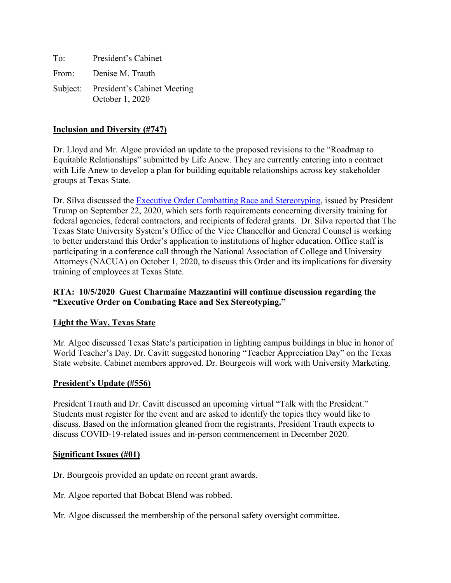To: President's Cabinet From: Denise M. Trauth Subject: President's Cabinet Meeting October 1, 2020

## **Inclusion and Diversity (#747)**

Dr. Lloyd and Mr. Algoe provided an update to the proposed revisions to the "Roadmap to Equitable Relationships" submitted by Life Anew. They are currently entering into a contract with Life Anew to develop a plan for building equitable relationships across key stakeholder groups at Texas State.

Dr. Silva discussed the [Executive Order Combatting Race and Stereotyping,](https://www.whitehouse.gov/presidential-actions/executive-order-combating-race-sex-stereotyping/) issued by President Trump on September 22, 2020, which sets forth requirements concerning diversity training for federal agencies, federal contractors, and recipients of federal grants. Dr. Silva reported that The Texas State University System's Office of the Vice Chancellor and General Counsel is working to better understand this Order's application to institutions of higher education. Office staff is participating in a conference call through the National Association of College and University Attorneys (NACUA) on October 1, 2020, to discuss this Order and its implications for diversity training of employees at Texas State.

### **RTA: 10/5/2020 Guest Charmaine Mazzantini will continue discussion regarding the "Executive Order on Combating Race and Sex Stereotyping."**

#### **Light the Way, Texas State**

Mr. Algoe discussed Texas State's participation in lighting campus buildings in blue in honor of World Teacher's Day. Dr. Cavitt suggested honoring "Teacher Appreciation Day" on the Texas State website. Cabinet members approved. Dr. Bourgeois will work with University Marketing.

#### **President's Update (#556)**

President Trauth and Dr. Cavitt discussed an upcoming virtual "Talk with the President." Students must register for the event and are asked to identify the topics they would like to discuss. Based on the information gleaned from the registrants, President Trauth expects to discuss COVID-19-related issues and in-person commencement in December 2020.

#### **Significant Issues (#01)**

Dr. Bourgeois provided an update on recent grant awards.

Mr. Algoe reported that Bobcat Blend was robbed.

Mr. Algoe discussed the membership of the personal safety oversight committee.